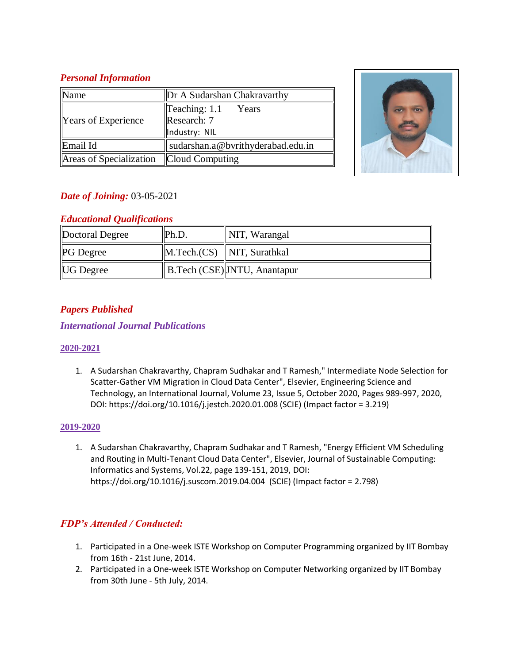#### *Personal Information*

| Name                       | Dr A Sudarshan Chakravarthy       |  |
|----------------------------|-----------------------------------|--|
| <b>Years of Experience</b> | $\textsf{Teaching: } 1.1$ Years   |  |
|                            | Research: 7                       |  |
|                            | Industry: NIL                     |  |
| Email Id                   | sudarshan.a@bvrithyderabad.edu.in |  |
| Areas of Specialization    | <b>Cloud Computing</b>            |  |



# *Date of Joining:* 03-05-2021

#### *Educational Qualifications*

| Doctoral Degree  | Ph.D. | $\parallel$ NIT, Warangal            |
|------------------|-------|--------------------------------------|
| <b>PG</b> Degree |       | $\ $ M.Tech.(CS) $\ $ NIT, Surathkal |
| <b>UG</b> Degree |       | B.Tech (CSE) JNTU, Anantapur         |

# *Papers Published*

## *International Journal Publications*

#### **2020-2021**

1. A Sudarshan Chakravarthy, Chapram Sudhakar and T Ramesh," Intermediate Node Selection for Scatter-Gather VM Migration in Cloud Data Center", Elsevier, Engineering Science and Technology, an International Journal, Volume 23, Issue 5, October 2020, Pages 989-997, 2020, DOI: https://doi.org/10.1016/j.jestch.2020.01.008 (SCIE) (Impact factor = 3.219)

#### **2019-2020**

1. A Sudarshan Chakravarthy, Chapram Sudhakar and T Ramesh, "Energy Efficient VM Scheduling and Routing in Multi-Tenant Cloud Data Center", Elsevier, Journal of Sustainable Computing: Informatics and Systems, Vol.22, page 139-151, 2019, DOI: https://doi.org/10.1016/j.suscom.2019.04.004 (SCIE) (Impact factor = 2.798)

# *FDP's Attended / Conducted:*

- 1. Participated in a One-week ISTE Workshop on Computer Programming organized by IIT Bombay from 16th - 21st June, 2014.
- 2. Participated in a One-week ISTE Workshop on Computer Networking organized by IIT Bombay from 30th June - 5th July, 2014.